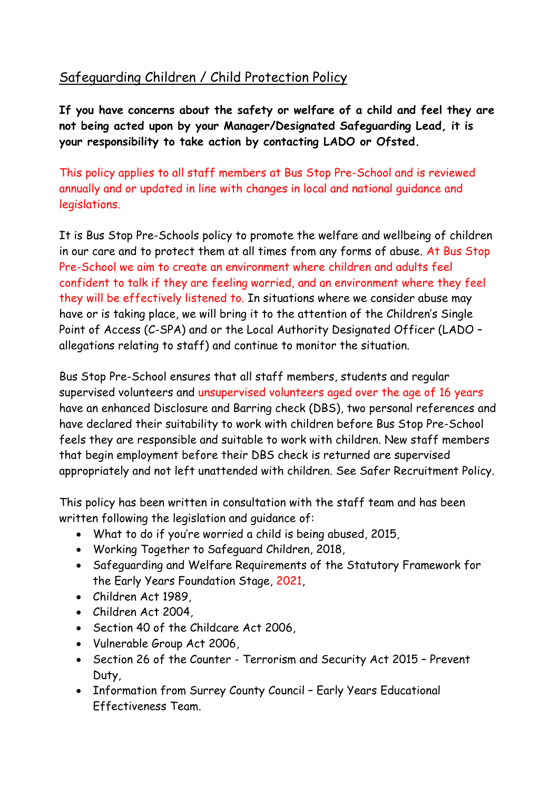# Safeguarding Children / Child Protection Policy

**If you have concerns about the safety or welfare of a child and feel they are not being acted upon by your Manager/Designated Safeguarding Lead, it is your responsibility to take action by contacting LADO or Ofsted.**

This policy applies to all staff members at Bus Stop Pre-School and is reviewed annually and or updated in line with changes in local and national guidance and legislations.

It is Bus Stop Pre-Schools policy to promote the welfare and wellbeing of children in our care and to protect them at all times from any forms of abuse. At Bus Stop Pre-School we aim to create an environment where children and adults feel confident to talk if they are feeling worried, and an environment where they feel they will be effectively listened to. In situations where we consider abuse may have or is taking place, we will bring it to the attention of the Children's Single Point of Access (C-SPA) and or the Local Authority Designated Officer (LADO – allegations relating to staff) and continue to monitor the situation.

Bus Stop Pre-School ensures that all staff members, students and regular supervised volunteers and unsupervised volunteers aged over the age of 16 years have an enhanced Disclosure and Barring check (DBS), two personal references and have declared their suitability to work with children before Bus Stop Pre-School feels they are responsible and suitable to work with children. New staff members that begin employment before their DBS check is returned are supervised appropriately and not left unattended with children. See Safer Recruitment Policy.

This policy has been written in consultation with the staff team and has been written following the legislation and guidance of:

- What to do if you're worried a child is being abused, 2015,
- Working Together to Safeguard Children, 2018,
- Safeguarding and Welfare Requirements of the Statutory Framework for the Early Years Foundation Stage, 2021,
- Children Act 1989,
- Children Act 2004,
- Section 40 of the Childcare Act 2006,
- Vulnerable Group Act 2006,
- Section 26 of the Counter Terrorism and Security Act 2015 Prevent Duty,
- Information from Surrey County Council Early Years Educational Effectiveness Team.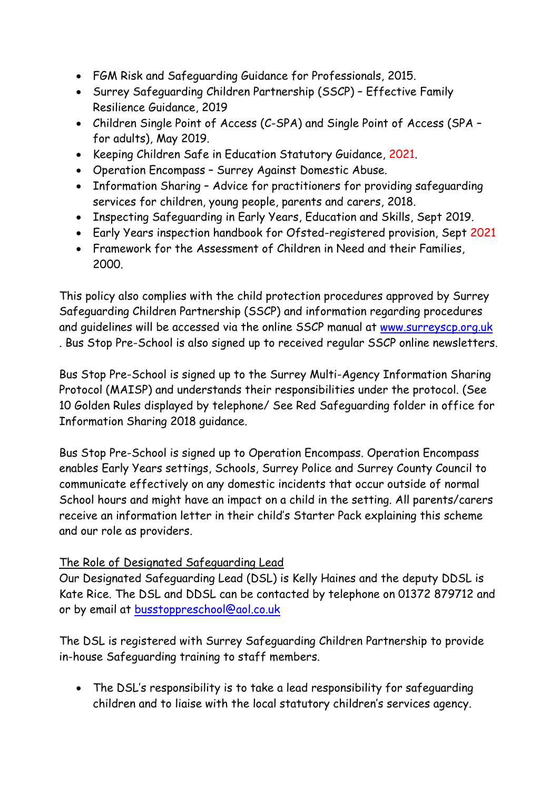- FGM Risk and Safeguarding Guidance for Professionals, 2015.
- Surrey Safeguarding Children Partnership (SSCP) Effective Family Resilience Guidance, 2019
- Children Single Point of Access (C-SPA) and Single Point of Access (SPA for adults), May 2019.
- Keeping Children Safe in Education Statutory Guidance, 2021.
- Operation Encompass Surrey Against Domestic Abuse.
- Information Sharing Advice for practitioners for providing safeguarding services for children, young people, parents and carers, 2018.
- Inspecting Safeguarding in Early Years, Education and Skills, Sept 2019.
- Early Years inspection handbook for Ofsted-registered provision, Sept 2021
- Framework for the Assessment of Children in Need and their Families, 2000.

This policy also complies with the child protection procedures approved by Surrey Safeguarding Children Partnership (SSCP) and information regarding procedures and guidelines will be accessed via the online SSCP manual at [www.surreyscp.org.uk](http://www.surreyscp.org.uk/) . Bus Stop Pre-School is also signed up to received regular SSCP online newsletters.

Bus Stop Pre-School is signed up to the Surrey Multi-Agency Information Sharing Protocol (MAISP) and understands their responsibilities under the protocol. (See 10 Golden Rules displayed by telephone/ See Red Safeguarding folder in office for Information Sharing 2018 guidance.

Bus Stop Pre-School is signed up to Operation Encompass. Operation Encompass enables Early Years settings, Schools, Surrey Police and Surrey County Council to communicate effectively on any domestic incidents that occur outside of normal School hours and might have an impact on a child in the setting. All parents/carers receive an information letter in their child's Starter Pack explaining this scheme and our role as providers.

### The Role of Designated Safeguarding Lead

Our Designated Safeguarding Lead (DSL) is Kelly Haines and the deputy DDSL is Kate Rice. The DSL and DDSL can be contacted by telephone on 01372 879712 and or by email at [busstoppreschool@aol.co.uk](mailto:busstoppreschool@aol.co.uk)

The DSL is registered with Surrey Safeguarding Children Partnership to provide in-house Safeguarding training to staff members.

• The DSL's responsibility is to take a lead responsibility for safeguarding children and to liaise with the local statutory children's services agency.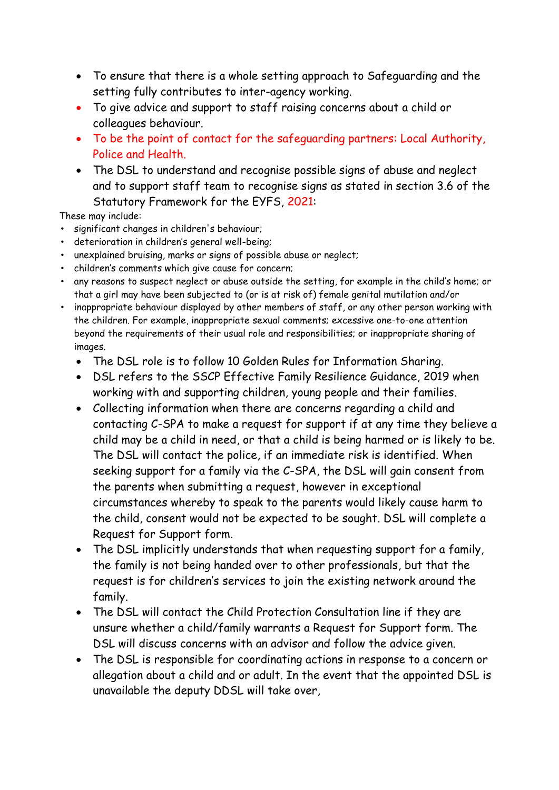- To ensure that there is a whole setting approach to Safeguarding and the setting fully contributes to inter-agency working.
- To give advice and support to staff raising concerns about a child or colleagues behaviour.
- To be the point of contact for the safeguarding partners: Local Authority, Police and Health.
- The DSL to understand and recognise possible signs of abuse and neglect and to support staff team to recognise signs as stated in section 3.6 of the Statutory Framework for the EYFS, 2021:

These may include:

- significant changes in children's behaviour;
- deterioration in children's general well-being;
- unexplained bruising, marks or signs of possible abuse or neglect;
- children's comments which give cause for concern;
- any reasons to suspect neglect or abuse outside the setting, for example in the child's home; or that a girl may have been subjected to (or is at risk of) female genital mutilation and/or
- inappropriate behaviour displayed by other members of staff, or any other person working with the children. For example, inappropriate sexual comments; excessive one-to-one attention beyond the requirements of their usual role and responsibilities; or inappropriate sharing of images.
	- The DSL role is to follow 10 Golden Rules for Information Sharing.
	- DSL refers to the SSCP Effective Family Resilience Guidance, 2019 when working with and supporting children, young people and their families.
	- Collecting information when there are concerns regarding a child and contacting C-SPA to make a request for support if at any time they believe a child may be a child in need, or that a child is being harmed or is likely to be. The DSL will contact the police, if an immediate risk is identified. When seeking support for a family via the C-SPA, the DSL will gain consent from the parents when submitting a request, however in exceptional circumstances whereby to speak to the parents would likely cause harm to the child, consent would not be expected to be sought. DSL will complete a Request for Support form.
	- The DSL implicitly understands that when requesting support for a family, the family is not being handed over to other professionals, but that the request is for children's services to join the existing network around the family.
	- The DSL will contact the Child Protection Consultation line if they are unsure whether a child/family warrants a Request for Support form. The DSL will discuss concerns with an advisor and follow the advice given.
	- The DSL is responsible for coordinating actions in response to a concern or allegation about a child and or adult. In the event that the appointed DSL is unavailable the deputy DDSL will take over,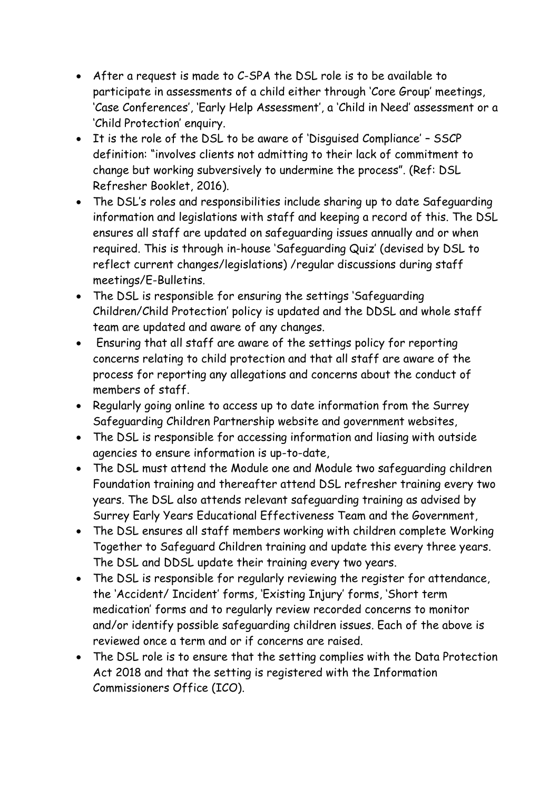- After a request is made to C-SPA the DSL role is to be available to participate in assessments of a child either through 'Core Group' meetings, 'Case Conferences', 'Early Help Assessment', a 'Child in Need' assessment or a 'Child Protection' enquiry.
- It is the role of the DSL to be aware of 'Disguised Compliance' SSCP definition: "involves clients not admitting to their lack of commitment to change but working subversively to undermine the process". (Ref: DSL Refresher Booklet, 2016).
- The DSL's roles and responsibilities include sharing up to date Safeguarding information and legislations with staff and keeping a record of this. The DSL ensures all staff are updated on safeguarding issues annually and or when required. This is through in-house 'Safeguarding Quiz' (devised by DSL to reflect current changes/legislations) /regular discussions during staff meetings/E-Bulletins.
- The DSL is responsible for ensuring the settings 'Safeguarding Children/Child Protection' policy is updated and the DDSL and whole staff team are updated and aware of any changes.
- Ensuring that all staff are aware of the settings policy for reporting concerns relating to child protection and that all staff are aware of the process for reporting any allegations and concerns about the conduct of members of staff.
- Regularly going online to access up to date information from the Surrey Safeguarding Children Partnership website and government websites,
- The DSL is responsible for accessing information and liasing with outside agencies to ensure information is up-to-date,
- The DSL must attend the Module one and Module two safeguarding children Foundation training and thereafter attend DSL refresher training every two years. The DSL also attends relevant safeguarding training as advised by Surrey Early Years Educational Effectiveness Team and the Government,
- The DSL ensures all staff members working with children complete Working Together to Safeguard Children training and update this every three years. The DSL and DDSL update their training every two years.
- The DSL is responsible for regularly reviewing the register for attendance, the 'Accident/ Incident' forms, 'Existing Injury' forms, 'Short term medication' forms and to regularly review recorded concerns to monitor and/or identify possible safeguarding children issues. Each of the above is reviewed once a term and or if concerns are raised.
- The DSL role is to ensure that the setting complies with the Data Protection Act 2018 and that the setting is registered with the Information Commissioners Office (ICO).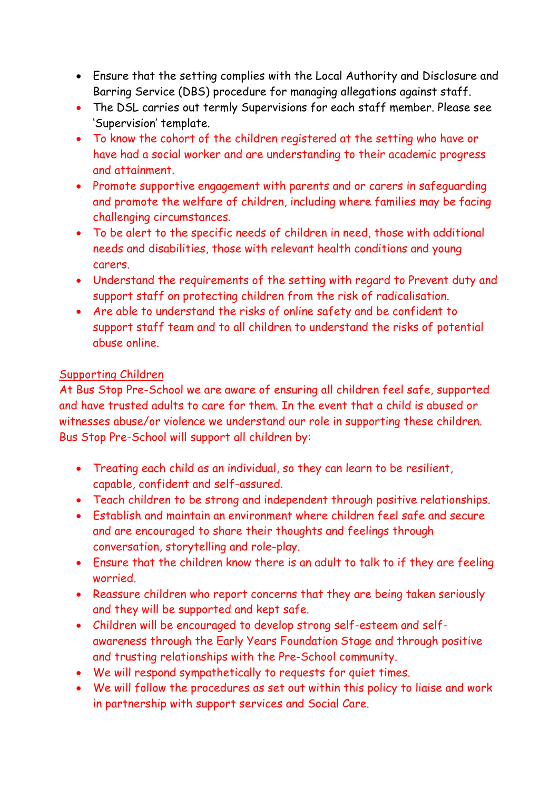- Ensure that the setting complies with the Local Authority and Disclosure and Barring Service (DBS) procedure for managing allegations against staff.
- The DSL carries out termly Supervisions for each staff member. Please see 'Supervision' template.
- To know the cohort of the children registered at the setting who have or have had a social worker and are understanding to their academic progress and attainment.
- Promote supportive engagement with parents and or carers in safeguarding and promote the welfare of children, including where families may be facing challenging circumstances.
- To be alert to the specific needs of children in need, those with additional needs and disabilities, those with relevant health conditions and young carers.
- Understand the requirements of the setting with regard to Prevent duty and support staff on protecting children from the risk of radicalisation.
- Are able to understand the risks of online safety and be confident to support staff team and to all children to understand the risks of potential abuse online.

### Supporting Children

At Bus Stop Pre-School we are aware of ensuring all children feel safe, supported and have trusted adults to care for them. In the event that a child is abused or witnesses abuse/or violence we understand our role in supporting these children. Bus Stop Pre-School will support all children by:

- Treating each child as an individual, so they can learn to be resilient, capable, confident and self-assured.
- Teach children to be strong and independent through positive relationships.
- Establish and maintain an environment where children feel safe and secure and are encouraged to share their thoughts and feelings through conversation, storytelling and role-play.
- Ensure that the children know there is an adult to talk to if they are feeling worried.
- Reassure children who report concerns that they are being taken seriously and they will be supported and kept safe.
- Children will be encouraged to develop strong self-esteem and selfawareness through the Early Years Foundation Stage and through positive and trusting relationships with the Pre-School community.
- We will respond sympathetically to requests for quiet times.
- We will follow the procedures as set out within this policy to liaise and work in partnership with support services and Social Care.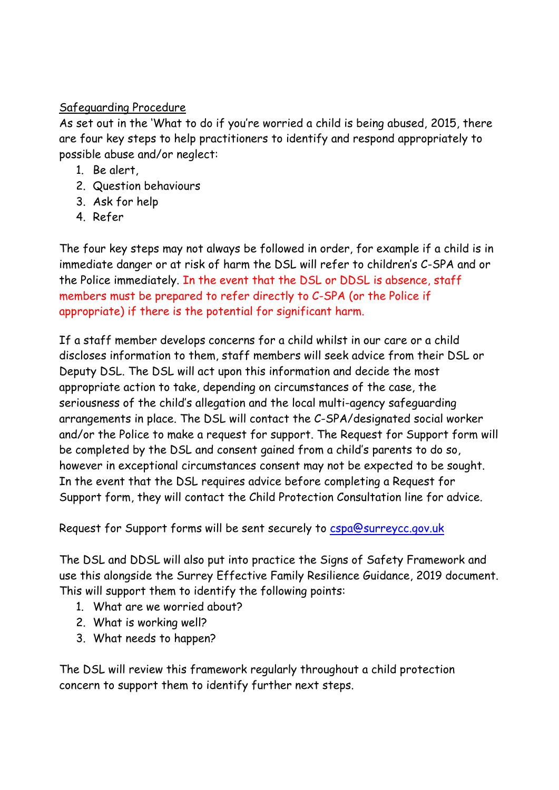### Safeguarding Procedure

As set out in the 'What to do if you're worried a child is being abused, 2015, there are four key steps to help practitioners to identify and respond appropriately to possible abuse and/or neglect:

- 1. Be alert,
- 2. Question behaviours
- 3. Ask for help
- 4. Refer

The four key steps may not always be followed in order, for example if a child is in immediate danger or at risk of harm the DSL will refer to children's C-SPA and or the Police immediately. In the event that the DSL or DDSL is absence, staff members must be prepared to refer directly to C-SPA (or the Police if appropriate) if there is the potential for significant harm.

If a staff member develops concerns for a child whilst in our care or a child discloses information to them, staff members will seek advice from their DSL or Deputy DSL. The DSL will act upon this information and decide the most appropriate action to take, depending on circumstances of the case, the seriousness of the child's allegation and the local multi-agency safeguarding arrangements in place. The DSL will contact the C-SPA/designated social worker and/or the Police to make a request for support. The Request for Support form will be completed by the DSL and consent gained from a child's parents to do so, however in exceptional circumstances consent may not be expected to be sought. In the event that the DSL requires advice before completing a Request for Support form, they will contact the Child Protection Consultation line for advice.

Request for Support forms will be sent securely to [cspa@surreycc.gov.uk](mailto:cspa@surreycc.gov.uk)

The DSL and DDSL will also put into practice the Signs of Safety Framework and use this alongside the Surrey Effective Family Resilience Guidance, 2019 document. This will support them to identify the following points:

- 1. What are we worried about?
- 2. What is working well?
- 3. What needs to happen?

The DSL will review this framework regularly throughout a child protection concern to support them to identify further next steps.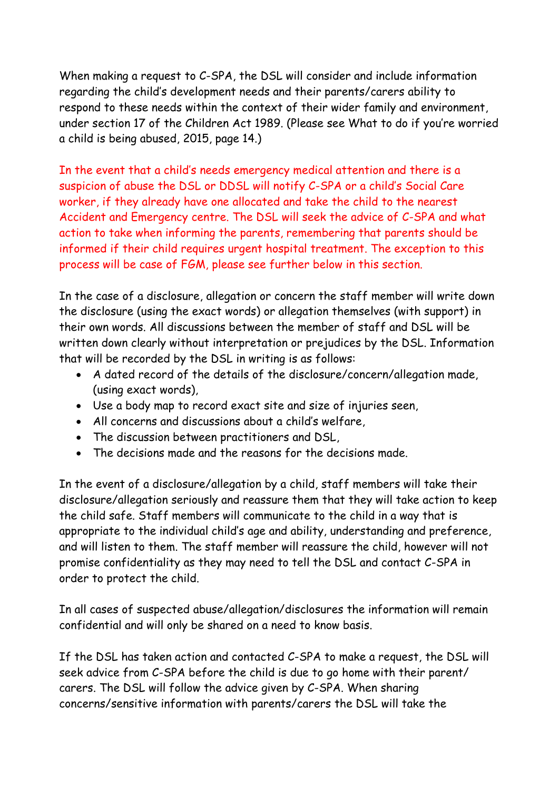When making a request to C-SPA, the DSL will consider and include information regarding the child's development needs and their parents/carers ability to respond to these needs within the context of their wider family and environment, under section 17 of the Children Act 1989. (Please see What to do if you're worried a child is being abused, 2015, page 14.)

In the event that a child's needs emergency medical attention and there is a suspicion of abuse the DSL or DDSL will notify C-SPA or a child's Social Care worker, if they already have one allocated and take the child to the nearest Accident and Emergency centre. The DSL will seek the advice of C-SPA and what action to take when informing the parents, remembering that parents should be informed if their child requires urgent hospital treatment. The exception to this process will be case of FGM, please see further below in this section.

In the case of a disclosure, allegation or concern the staff member will write down the disclosure (using the exact words) or allegation themselves (with support) in their own words. All discussions between the member of staff and DSL will be written down clearly without interpretation or prejudices by the DSL. Information that will be recorded by the DSL in writing is as follows:

- A dated record of the details of the disclosure/concern/allegation made, (using exact words),
- Use a body map to record exact site and size of injuries seen,
- All concerns and discussions about a child's welfare,
- The discussion between practitioners and DSL,
- The decisions made and the reasons for the decisions made.

In the event of a disclosure/allegation by a child, staff members will take their disclosure/allegation seriously and reassure them that they will take action to keep the child safe. Staff members will communicate to the child in a way that is appropriate to the individual child's age and ability, understanding and preference, and will listen to them. The staff member will reassure the child, however will not promise confidentiality as they may need to tell the DSL and contact C-SPA in order to protect the child.

In all cases of suspected abuse/allegation/disclosures the information will remain confidential and will only be shared on a need to know basis.

If the DSL has taken action and contacted C-SPA to make a request, the DSL will seek advice from C-SPA before the child is due to go home with their parent/ carers. The DSL will follow the advice given by C-SPA. When sharing concerns/sensitive information with parents/carers the DSL will take the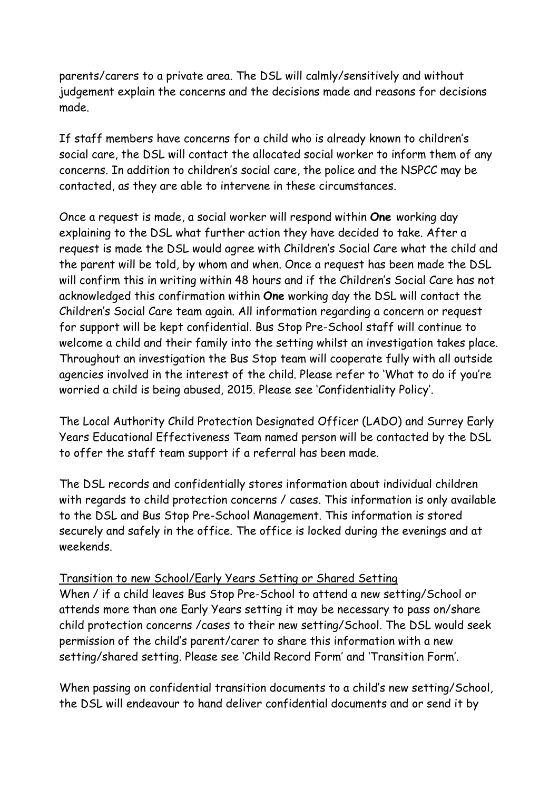parents/carers to a private area. The DSL will calmly/sensitively and without judgement explain the concerns and the decisions made and reasons for decisions made.

If staff members have concerns for a child who is already known to children's social care, the DSL will contact the allocated social worker to inform them of any concerns. In addition to children's social care, the police and the NSPCC may be contacted, as they are able to intervene in these circumstances.

Once a request is made, a social worker will respond within **One** working day explaining to the DSL what further action they have decided to take. After a request is made the DSL would agree with Children's Social Care what the child and the parent will be told, by whom and when. Once a request has been made the DSL will confirm this in writing within 48 hours and if the Children's Social Care has not acknowledged this confirmation within **One** working day the DSL will contact the Children's Social Care team again. All information regarding a concern or request for support will be kept confidential. Bus Stop Pre-School staff will continue to welcome a child and their family into the setting whilst an investigation takes place. Throughout an investigation the Bus Stop team will cooperate fully with all outside agencies involved in the interest of the child. Please refer to 'What to do if you're worried a child is being abused, 2015. Please see 'Confidentiality Policy'.

The Local Authority Child Protection Designated Officer (LADO) and Surrey Early Years Educational Effectiveness Team named person will be contacted by the DSL to offer the staff team support if a referral has been made.

The DSL records and confidentially stores information about individual children with regards to child protection concerns / cases. This information is only available to the DSL and Bus Stop Pre-School Management. This information is stored securely and safely in the office. The office is locked during the evenings and at weekends.

### Transition to new School/Early Years Setting or Shared Setting

When / if a child leaves Bus Stop Pre-School to attend a new setting/School or attends more than one Early Years setting it may be necessary to pass on/share child protection concerns /cases to their new setting/School. The DSL would seek permission of the child's parent/carer to share this information with a new setting/shared setting. Please see 'Child Record Form' and 'Transition Form'.

When passing on confidential transition documents to a child's new setting/School, the DSL will endeavour to hand deliver confidential documents and or send it by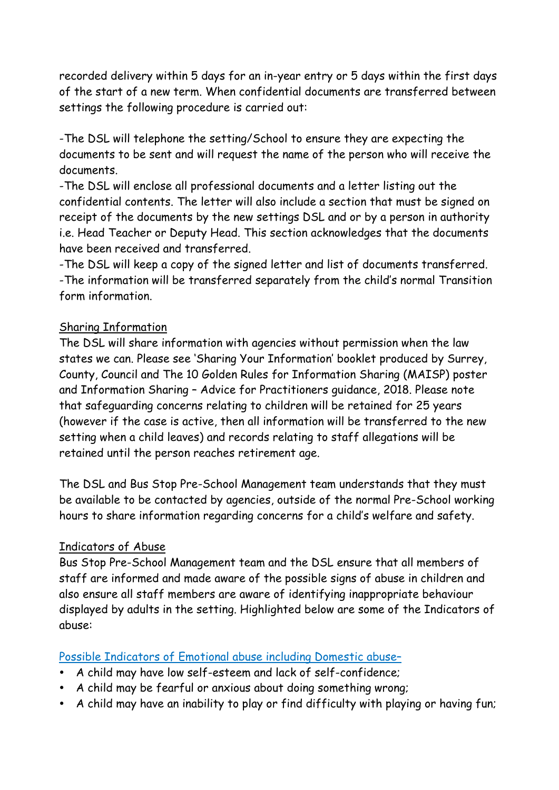recorded delivery within 5 days for an in-year entry or 5 days within the first days of the start of a new term. When confidential documents are transferred between settings the following procedure is carried out:

-The DSL will telephone the setting/School to ensure they are expecting the documents to be sent and will request the name of the person who will receive the documents.

-The DSL will enclose all professional documents and a letter listing out the confidential contents. The letter will also include a section that must be signed on receipt of the documents by the new settings DSL and or by a person in authority i.e. Head Teacher or Deputy Head. This section acknowledges that the documents have been received and transferred.

-The DSL will keep a copy of the signed letter and list of documents transferred. -The information will be transferred separately from the child's normal Transition form information.

### Sharing Information

The DSL will share information with agencies without permission when the law states we can. Please see 'Sharing Your Information' booklet produced by Surrey, County, Council and The 10 Golden Rules for Information Sharing (MAISP) poster and Information Sharing – Advice for Practitioners guidance, 2018. Please note that safeguarding concerns relating to children will be retained for 25 years (however if the case is active, then all information will be transferred to the new setting when a child leaves) and records relating to staff allegations will be retained until the person reaches retirement age.

The DSL and Bus Stop Pre-School Management team understands that they must be available to be contacted by agencies, outside of the normal Pre-School working hours to share information regarding concerns for a child's welfare and safety.

### Indicators of Abuse

Bus Stop Pre-School Management team and the DSL ensure that all members of staff are informed and made aware of the possible signs of abuse in children and also ensure all staff members are aware of identifying inappropriate behaviour displayed by adults in the setting. Highlighted below are some of the Indicators of abuse:

### Possible Indicators of Emotional abuse including Domestic abuse–

- A child may have low self-esteem and lack of self-confidence;
- A child may be fearful or anxious about doing something wrong;
- A child may have an inability to play or find difficulty with playing or having fun;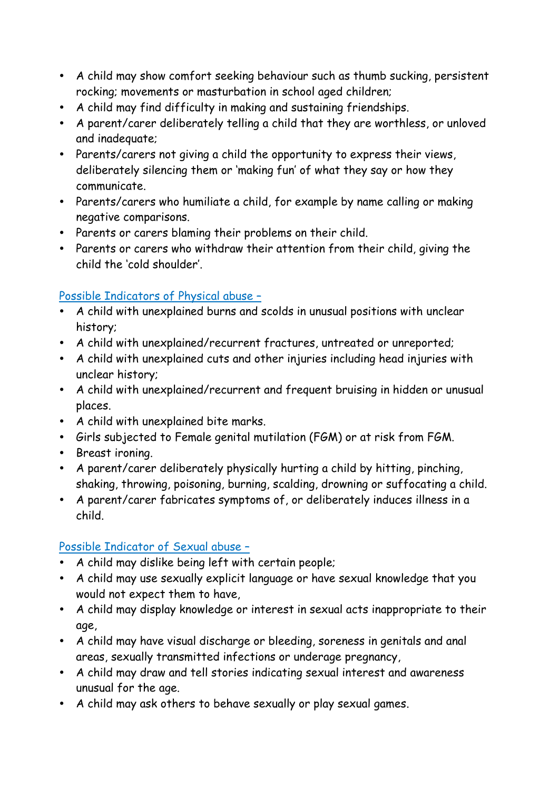- A child may show comfort seeking behaviour such as thumb sucking, persistent rocking; movements or masturbation in school aged children;
- A child may find difficulty in making and sustaining friendships.
- A parent/carer deliberately telling a child that they are worthless, or unloved and inadequate;
- Parents/carers not giving a child the opportunity to express their views, deliberately silencing them or 'making fun' of what they say or how they communicate.
- Parents/carers who humiliate a child, for example by name calling or making negative comparisons.
- Parents or carers blaming their problems on their child.
- Parents or carers who withdraw their attention from their child, giving the child the 'cold shoulder'.

### Possible Indicators of Physical abuse –

- A child with unexplained burns and scolds in unusual positions with unclear history;
- A child with unexplained/recurrent fractures, untreated or unreported;
- A child with unexplained cuts and other injuries including head injuries with unclear history;
- A child with unexplained/recurrent and frequent bruising in hidden or unusual places.
- A child with unexplained bite marks.
- Girls subjected to Female genital mutilation (FGM) or at risk from FGM.
- Breast ironing.
- A parent/carer deliberately physically hurting a child by hitting, pinching, shaking, throwing, poisoning, burning, scalding, drowning or suffocating a child.
- A parent/carer fabricates symptoms of, or deliberately induces illness in a child.

### Possible Indicator of Sexual abuse –

- A child may dislike being left with certain people;
- A child may use sexually explicit language or have sexual knowledge that you would not expect them to have,
- A child may display knowledge or interest in sexual acts inappropriate to their age,
- A child may have visual discharge or bleeding, soreness in genitals and anal areas, sexually transmitted infections or underage pregnancy,
- A child may draw and tell stories indicating sexual interest and awareness unusual for the age.
- A child may ask others to behave sexually or play sexual games.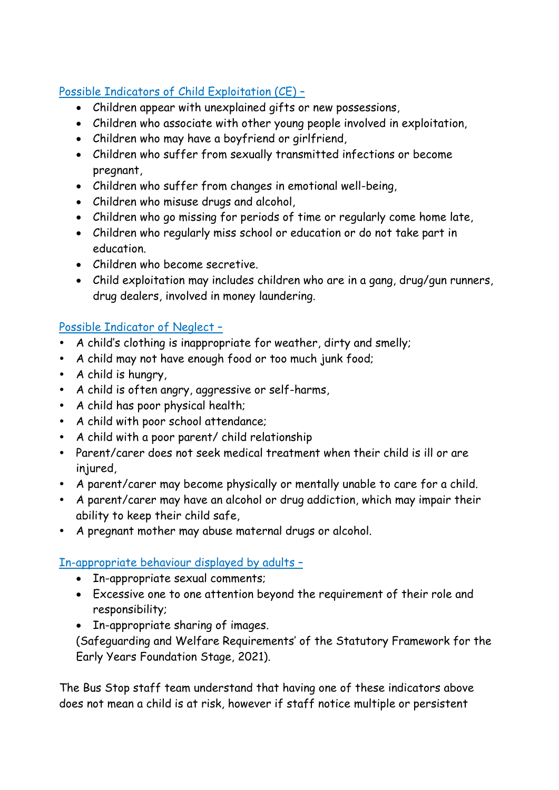## Possible Indicators of Child Exploitation (CE) –

- Children appear with unexplained gifts or new possessions,
- Children who associate with other young people involved in exploitation,
- Children who may have a boyfriend or girlfriend,
- Children who suffer from sexually transmitted infections or become pregnant,
- Children who suffer from changes in emotional well-being,
- Children who misuse drugs and alcohol,
- Children who go missing for periods of time or regularly come home late,
- Children who regularly miss school or education or do not take part in education.
- Children who become secretive.
- Child exploitation may includes children who are in a gang, drug/gun runners, drug dealers, involved in money laundering.

## Possible Indicator of Neglect –

- A child's clothing is inappropriate for weather, dirty and smelly;
- A child may not have enough food or too much junk food;
- A child is hungry,
- A child is often angry, aggressive or self-harms,
- A child has poor physical health;
- A child with poor school attendance;
- A child with a poor parent/ child relationship
- Parent/carer does not seek medical treatment when their child is ill or are injured,
- A parent/carer may become physically or mentally unable to care for a child.
- A parent/carer may have an alcohol or drug addiction, which may impair their ability to keep their child safe,
- A pregnant mother may abuse maternal drugs or alcohol.

## In-appropriate behaviour displayed by adults –

- In-appropriate sexual comments;
- Excessive one to one attention beyond the requirement of their role and responsibility;
- In-appropriate sharing of images.

(Safeguarding and Welfare Requirements' of the Statutory Framework for the Early Years Foundation Stage, 2021).

The Bus Stop staff team understand that having one of these indicators above does not mean a child is at risk, however if staff notice multiple or persistent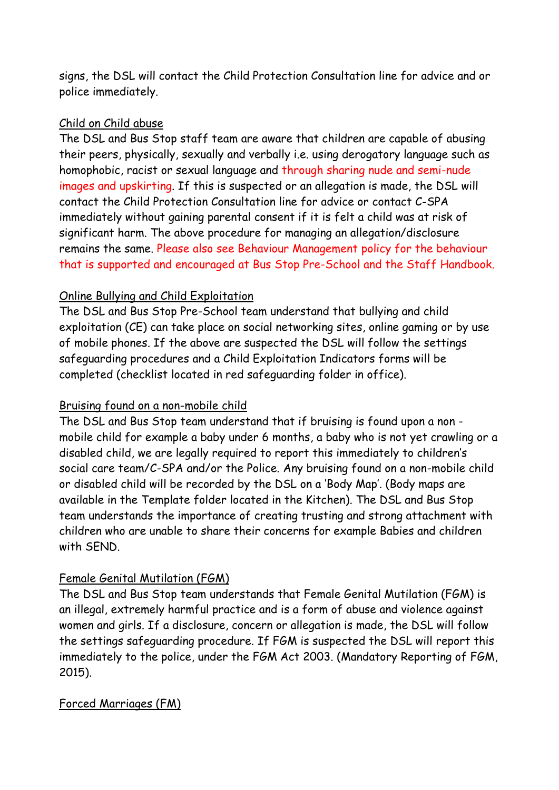signs, the DSL will contact the Child Protection Consultation line for advice and or police immediately.

### Child on Child abuse

The DSL and Bus Stop staff team are aware that children are capable of abusing their peers, physically, sexually and verbally i.e. using derogatory language such as homophobic, racist or sexual language and through sharing nude and semi-nude images and upskirting. If this is suspected or an allegation is made, the DSL will contact the Child Protection Consultation line for advice or contact C-SPA immediately without gaining parental consent if it is felt a child was at risk of significant harm. The above procedure for managing an allegation/disclosure remains the same. Please also see Behaviour Management policy for the behaviour that is supported and encouraged at Bus Stop Pre-School and the Staff Handbook.

### Online Bullying and Child Exploitation

The DSL and Bus Stop Pre-School team understand that bullying and child exploitation (CE) can take place on social networking sites, online gaming or by use of mobile phones. If the above are suspected the DSL will follow the settings safeguarding procedures and a Child Exploitation Indicators forms will be completed (checklist located in red safeguarding folder in office).

### Bruising found on a non-mobile child

The DSL and Bus Stop team understand that if bruising is found upon a non mobile child for example a baby under 6 months, a baby who is not yet crawling or a disabled child, we are legally required to report this immediately to children's social care team/C-SPA and/or the Police. Any bruising found on a non-mobile child or disabled child will be recorded by the DSL on a 'Body Map'. (Body maps are available in the Template folder located in the Kitchen). The DSL and Bus Stop team understands the importance of creating trusting and strong attachment with children who are unable to share their concerns for example Babies and children with SEND.

### Female Genital Mutilation (FGM)

The DSL and Bus Stop team understands that Female Genital Mutilation (FGM) is an illegal, extremely harmful practice and is a form of abuse and violence against women and girls. If a disclosure, concern or allegation is made, the DSL will follow the settings safeguarding procedure. If FGM is suspected the DSL will report this immediately to the police, under the FGM Act 2003. (Mandatory Reporting of FGM, 2015).

### Forced Marriages (FM)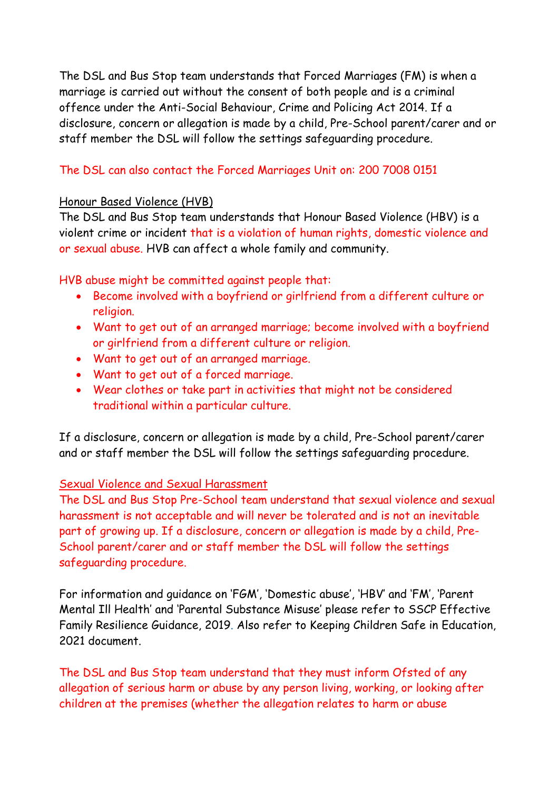The DSL and Bus Stop team understands that Forced Marriages (FM) is when a marriage is carried out without the consent of both people and is a criminal offence under the Anti-Social Behaviour, Crime and Policing Act 2014. If a disclosure, concern or allegation is made by a child, Pre-School parent/carer and or staff member the DSL will follow the settings safeguarding procedure.

### The DSL can also contact the Forced Marriages Unit on: 200 7008 0151

### Honour Based Violence (HVB)

The DSL and Bus Stop team understands that Honour Based Violence (HBV) is a violent crime or incident that is a violation of human rights, domestic violence and or sexual abuse. HVB can affect a whole family and community.

HVB abuse might be committed against people that:

- Become involved with a boyfriend or girlfriend from a different culture or religion.
- Want to get out of an arranged marriage; become involved with a boyfriend or girlfriend from a different culture or religion.
- Want to get out of an arranged marriage.
- Want to get out of a forced marriage.
- Wear clothes or take part in activities that might not be considered traditional within a particular culture.

If a disclosure, concern or allegation is made by a child, Pre-School parent/carer and or staff member the DSL will follow the settings safeguarding procedure.

### Sexual Violence and Sexual Harassment

The DSL and Bus Stop Pre-School team understand that sexual violence and sexual harassment is not acceptable and will never be tolerated and is not an inevitable part of growing up. If a disclosure, concern or allegation is made by a child, Pre-School parent/carer and or staff member the DSL will follow the settings safeguarding procedure.

For information and guidance on 'FGM', 'Domestic abuse', 'HBV' and 'FM', 'Parent Mental Ill Health' and 'Parental Substance Misuse' please refer to SSCP Effective Family Resilience Guidance, 2019. Also refer to Keeping Children Safe in Education, 2021 document.

The DSL and Bus Stop team understand that they must inform Ofsted of any allegation of serious harm or abuse by any person living, working, or looking after children at the premises (whether the allegation relates to harm or abuse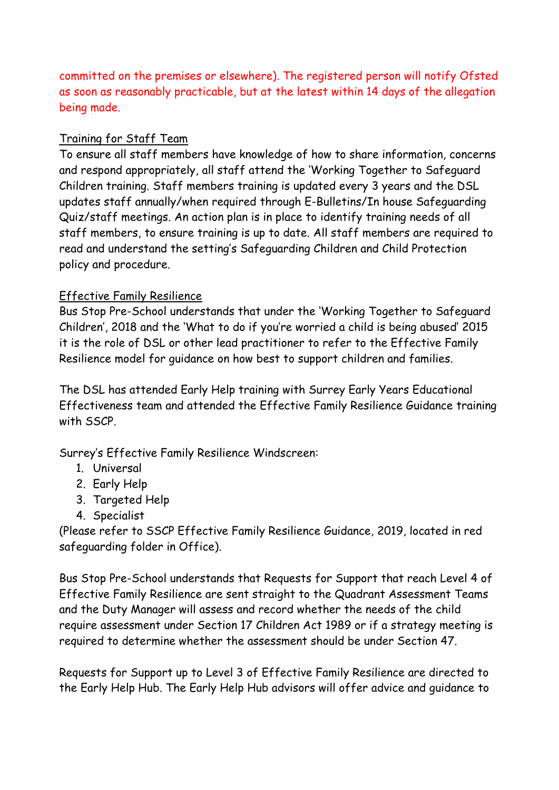committed on the premises or elsewhere). The registered person will notify Ofsted as soon as reasonably practicable, but at the latest within 14 days of the allegation being made.

### Training for Staff Team

To ensure all staff members have knowledge of how to share information, concerns and respond appropriately, all staff attend the 'Working Together to Safeguard Children training. Staff members training is updated every 3 years and the DSL updates staff annually/when required through E-Bulletins/In house Safeguarding Quiz/staff meetings. An action plan is in place to identify training needs of all staff members, to ensure training is up to date. All staff members are required to read and understand the setting's Safeguarding Children and Child Protection policy and procedure.

### Effective Family Resilience

Bus Stop Pre-School understands that under the 'Working Together to Safeguard Children', 2018 and the 'What to do if you're worried a child is being abused' 2015 it is the role of DSL or other lead practitioner to refer to the Effective Family Resilience model for guidance on how best to support children and families.

The DSL has attended Early Help training with Surrey Early Years Educational Effectiveness team and attended the Effective Family Resilience Guidance training with SSCP.

Surrey's Effective Family Resilience Windscreen:

- 1. Universal
- 2. Early Help
- 3. Targeted Help
- 4. Specialist

(Please refer to SSCP Effective Family Resilience Guidance, 2019, located in red safeguarding folder in Office).

Bus Stop Pre-School understands that Requests for Support that reach Level 4 of Effective Family Resilience are sent straight to the Quadrant Assessment Teams and the Duty Manager will assess and record whether the needs of the child require assessment under Section 17 Children Act 1989 or if a strategy meeting is required to determine whether the assessment should be under Section 47.

Requests for Support up to Level 3 of Effective Family Resilience are directed to the Early Help Hub. The Early Help Hub advisors will offer advice and guidance to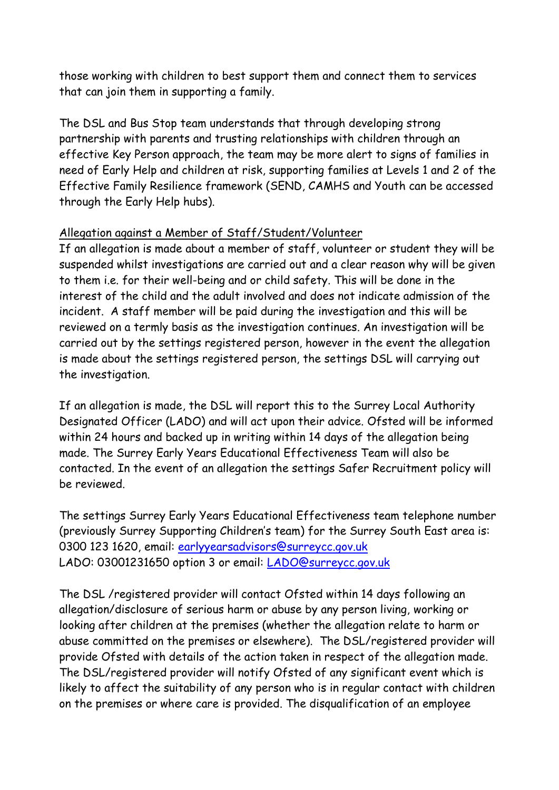those working with children to best support them and connect them to services that can join them in supporting a family.

The DSL and Bus Stop team understands that through developing strong partnership with parents and trusting relationships with children through an effective Key Person approach, the team may be more alert to signs of families in need of Early Help and children at risk, supporting families at Levels 1 and 2 of the Effective Family Resilience framework (SEND, CAMHS and Youth can be accessed through the Early Help hubs).

### Allegation against a Member of Staff/Student/Volunteer

If an allegation is made about a member of staff, volunteer or student they will be suspended whilst investigations are carried out and a clear reason why will be given to them i.e. for their well-being and or child safety. This will be done in the interest of the child and the adult involved and does not indicate admission of the incident. A staff member will be paid during the investigation and this will be reviewed on a termly basis as the investigation continues. An investigation will be carried out by the settings registered person, however in the event the allegation is made about the settings registered person, the settings DSL will carrying out the investigation.

If an allegation is made, the DSL will report this to the Surrey Local Authority Designated Officer (LADO) and will act upon their advice. Ofsted will be informed within 24 hours and backed up in writing within 14 days of the allegation being made. The Surrey Early Years Educational Effectiveness Team will also be contacted. In the event of an allegation the settings Safer Recruitment policy will be reviewed.

The settings Surrey Early Years Educational Effectiveness team telephone number (previously Surrey Supporting Children's team) for the Surrey South East area is: 0300 123 1620, email: [earlyyearsadvisors@surreycc.gov.uk](mailto:earlyyearsadvisors@surreycc.gov.uk) LADO: 03001231650 option 3 or email: [LADO@surreycc.gov.uk](mailto:LADO@surreycc.gov.uk)

The DSL /registered provider will contact Ofsted within 14 days following an allegation/disclosure of serious harm or abuse by any person living, working or looking after children at the premises (whether the allegation relate to harm or abuse committed on the premises or elsewhere). The DSL/registered provider will provide Ofsted with details of the action taken in respect of the allegation made. The DSL/registered provider will notify Ofsted of any significant event which is likely to affect the suitability of any person who is in regular contact with children on the premises or where care is provided. The disqualification of an employee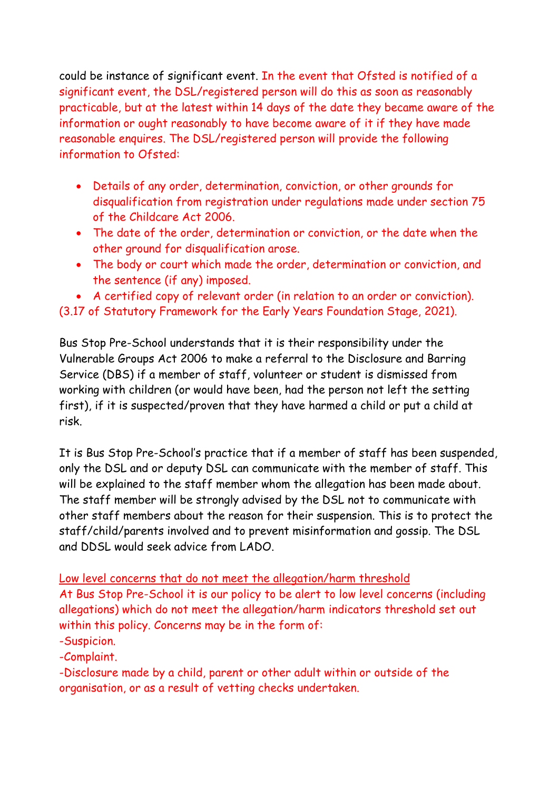could be instance of significant event. In the event that Ofsted is notified of a significant event, the DSL/registered person will do this as soon as reasonably practicable, but at the latest within 14 days of the date they became aware of the information or ought reasonably to have become aware of it if they have made reasonable enquires. The DSL/registered person will provide the following information to Ofsted:

- Details of any order, determination, conviction, or other grounds for disqualification from registration under regulations made under section 75 of the Childcare Act 2006.
- The date of the order, determination or conviction, or the date when the other ground for disqualification arose.
- The body or court which made the order, determination or conviction, and the sentence (if any) imposed.
- A certified copy of relevant order (in relation to an order or conviction).

## (3.17 of Statutory Framework for the Early Years Foundation Stage, 2021).

Bus Stop Pre-School understands that it is their responsibility under the Vulnerable Groups Act 2006 to make a referral to the Disclosure and Barring Service (DBS) if a member of staff, volunteer or student is dismissed from working with children (or would have been, had the person not left the setting first), if it is suspected/proven that they have harmed a child or put a child at risk.

It is Bus Stop Pre-School's practice that if a member of staff has been suspended, only the DSL and or deputy DSL can communicate with the member of staff. This will be explained to the staff member whom the allegation has been made about. The staff member will be strongly advised by the DSL not to communicate with other staff members about the reason for their suspension. This is to protect the staff/child/parents involved and to prevent misinformation and gossip. The DSL and DDSL would seek advice from LADO.

### Low level concerns that do not meet the allegation/harm threshold

At Bus Stop Pre-School it is our policy to be alert to low level concerns (including allegations) which do not meet the allegation/harm indicators threshold set out within this policy. Concerns may be in the form of:

### -Suspicion.

-Complaint.

-Disclosure made by a child, parent or other adult within or outside of the organisation, or as a result of vetting checks undertaken.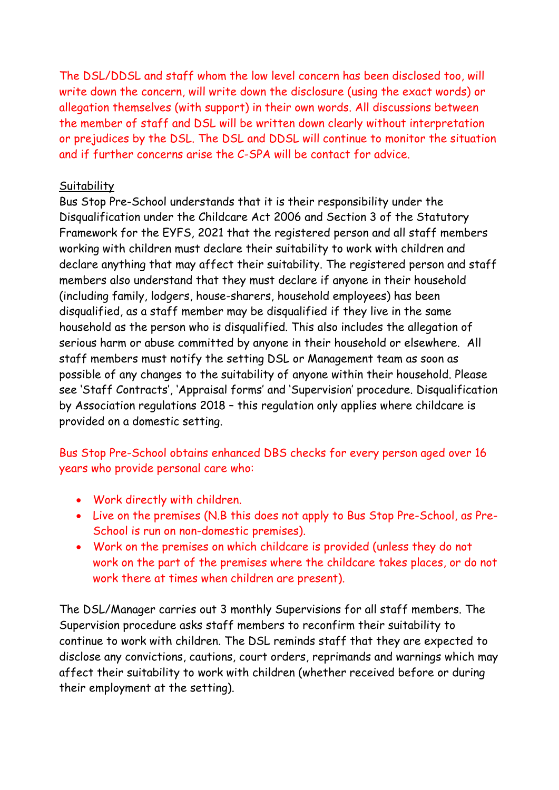The DSL/DDSL and staff whom the low level concern has been disclosed too, will write down the concern, will write down the disclosure (using the exact words) or allegation themselves (with support) in their own words. All discussions between the member of staff and DSL will be written down clearly without interpretation or prejudices by the DSL. The DSL and DDSL will continue to monitor the situation and if further concerns arise the C-SPA will be contact for advice.

#### **Suitability**

Bus Stop Pre-School understands that it is their responsibility under the Disqualification under the Childcare Act 2006 and Section 3 of the Statutory Framework for the EYFS, 2021 that the registered person and all staff members working with children must declare their suitability to work with children and declare anything that may affect their suitability. The registered person and staff members also understand that they must declare if anyone in their household (including family, lodgers, house-sharers, household employees) has been disqualified, as a staff member may be disqualified if they live in the same household as the person who is disqualified. This also includes the allegation of serious harm or abuse committed by anyone in their household or elsewhere. All staff members must notify the setting DSL or Management team as soon as possible of any changes to the suitability of anyone within their household. Please see 'Staff Contracts', 'Appraisal forms' and 'Supervision' procedure. Disqualification by Association regulations 2018 – this regulation only applies where childcare is provided on a domestic setting.

Bus Stop Pre-School obtains enhanced DBS checks for every person aged over 16 years who provide personal care who:

- Work directly with children.
- Live on the premises (N.B this does not apply to Bus Stop Pre-School, as Pre-School is run on non-domestic premises).
- Work on the premises on which childcare is provided (unless they do not work on the part of the premises where the childcare takes places, or do not work there at times when children are present).

The DSL/Manager carries out 3 monthly Supervisions for all staff members. The Supervision procedure asks staff members to reconfirm their suitability to continue to work with children. The DSL reminds staff that they are expected to disclose any convictions, cautions, court orders, reprimands and warnings which may affect their suitability to work with children (whether received before or during their employment at the setting).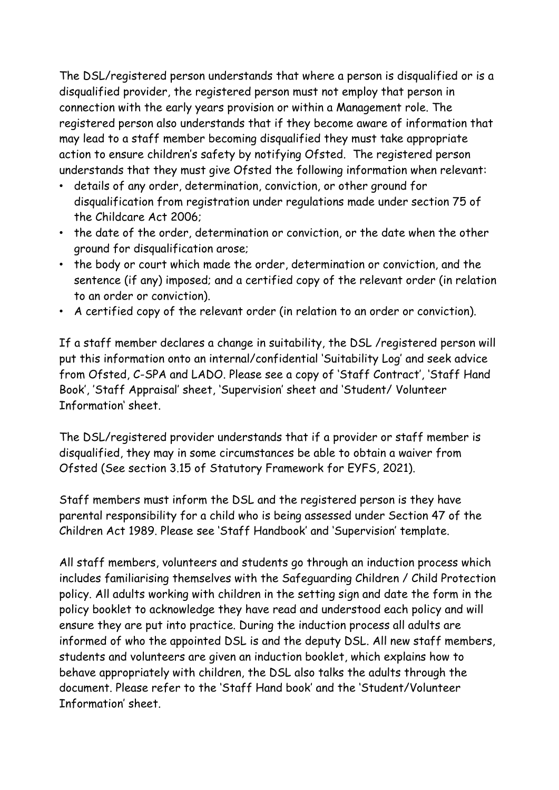The DSL/registered person understands that where a person is disqualified or is a disqualified provider, the registered person must not employ that person in connection with the early years provision or within a Management role. The registered person also understands that if they become aware of information that may lead to a staff member becoming disqualified they must take appropriate action to ensure children's safety by notifying Ofsted. The registered person understands that they must give Ofsted the following information when relevant:

- details of any order, determination, conviction, or other ground for disqualification from registration under regulations made under section 75 of the Childcare Act 2006;
- the date of the order, determination or conviction, or the date when the other ground for disqualification arose;
- the body or court which made the order, determination or conviction, and the sentence (if any) imposed; and a certified copy of the relevant order (in relation to an order or conviction).
- A certified copy of the relevant order (in relation to an order or conviction).

If a staff member declares a change in suitability, the DSL /registered person will put this information onto an internal/confidential 'Suitability Log' and seek advice from Ofsted, C-SPA and LADO. Please see a copy of 'Staff Contract', 'Staff Hand Book', 'Staff Appraisal' sheet, 'Supervision' sheet and 'Student/ Volunteer Information' sheet.

The DSL/registered provider understands that if a provider or staff member is disqualified, they may in some circumstances be able to obtain a waiver from Ofsted (See section 3.15 of Statutory Framework for EYFS, 2021).

Staff members must inform the DSL and the registered person is they have parental responsibility for a child who is being assessed under Section 47 of the Children Act 1989. Please see 'Staff Handbook' and 'Supervision' template.

All staff members, volunteers and students go through an induction process which includes familiarising themselves with the Safeguarding Children / Child Protection policy. All adults working with children in the setting sign and date the form in the policy booklet to acknowledge they have read and understood each policy and will ensure they are put into practice. During the induction process all adults are informed of who the appointed DSL is and the deputy DSL. All new staff members, students and volunteers are given an induction booklet, which explains how to behave appropriately with children, the DSL also talks the adults through the document. Please refer to the 'Staff Hand book' and the 'Student/Volunteer Information' sheet.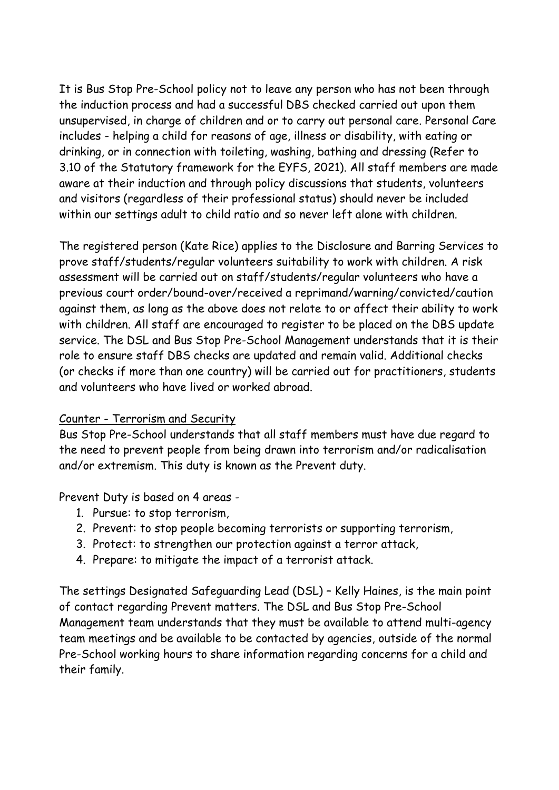It is Bus Stop Pre-School policy not to leave any person who has not been through the induction process and had a successful DBS checked carried out upon them unsupervised, in charge of children and or to carry out personal care. Personal Care includes - helping a child for reasons of age, illness or disability, with eating or drinking, or in connection with toileting, washing, bathing and dressing (Refer to 3.10 of the Statutory framework for the EYFS, 2021). All staff members are made aware at their induction and through policy discussions that students, volunteers and visitors (regardless of their professional status) should never be included within our settings adult to child ratio and so never left alone with children.

The registered person (Kate Rice) applies to the Disclosure and Barring Services to prove staff/students/regular volunteers suitability to work with children. A risk assessment will be carried out on staff/students/regular volunteers who have a previous court order/bound-over/received a reprimand/warning/convicted/caution against them, as long as the above does not relate to or affect their ability to work with children. All staff are encouraged to register to be placed on the DBS update service. The DSL and Bus Stop Pre-School Management understands that it is their role to ensure staff DBS checks are updated and remain valid. Additional checks (or checks if more than one country) will be carried out for practitioners, students and volunteers who have lived or worked abroad.

#### Counter - Terrorism and Security

Bus Stop Pre-School understands that all staff members must have due regard to the need to prevent people from being drawn into terrorism and/or radicalisation and/or extremism. This duty is known as the Prevent duty.

Prevent Duty is based on 4 areas -

- 1. Pursue: to stop terrorism,
- 2. Prevent: to stop people becoming terrorists or supporting terrorism,
- 3. Protect: to strengthen our protection against a terror attack,
- 4. Prepare: to mitigate the impact of a terrorist attack.

The settings Designated Safeguarding Lead (DSL) – Kelly Haines, is the main point of contact regarding Prevent matters. The DSL and Bus Stop Pre-School Management team understands that they must be available to attend multi-agency team meetings and be available to be contacted by agencies, outside of the normal Pre-School working hours to share information regarding concerns for a child and their family.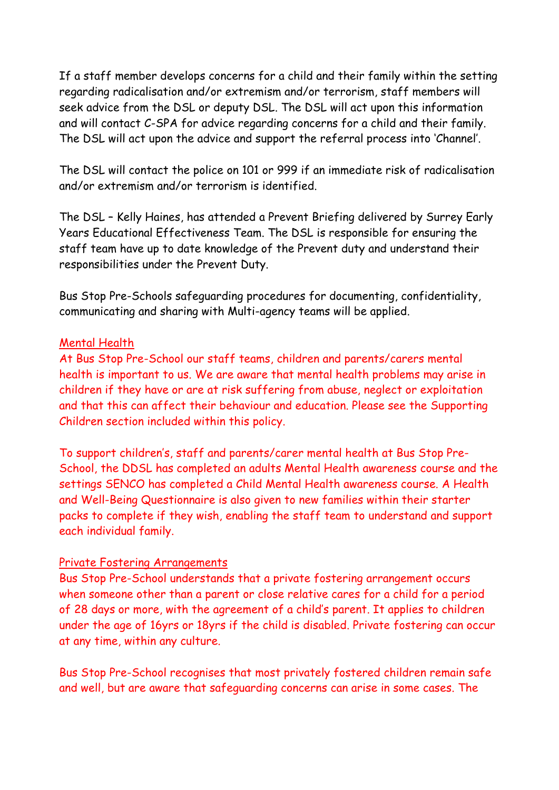If a staff member develops concerns for a child and their family within the setting regarding radicalisation and/or extremism and/or terrorism, staff members will seek advice from the DSL or deputy DSL. The DSL will act upon this information and will contact C-SPA for advice regarding concerns for a child and their family. The DSL will act upon the advice and support the referral process into 'Channel'.

The DSL will contact the police on 101 or 999 if an immediate risk of radicalisation and/or extremism and/or terrorism is identified.

The DSL – Kelly Haines, has attended a Prevent Briefing delivered by Surrey Early Years Educational Effectiveness Team. The DSL is responsible for ensuring the staff team have up to date knowledge of the Prevent duty and understand their responsibilities under the Prevent Duty.

Bus Stop Pre-Schools safeguarding procedures for documenting, confidentiality, communicating and sharing with Multi-agency teams will be applied.

### Mental Health

At Bus Stop Pre-School our staff teams, children and parents/carers mental health is important to us. We are aware that mental health problems may arise in children if they have or are at risk suffering from abuse, neglect or exploitation and that this can affect their behaviour and education. Please see the Supporting Children section included within this policy.

To support children's, staff and parents/carer mental health at Bus Stop Pre-School, the DDSL has completed an adults Mental Health awareness course and the settings SENCO has completed a Child Mental Health awareness course. A Health and Well-Being Questionnaire is also given to new families within their starter packs to complete if they wish, enabling the staff team to understand and support each individual family.

### Private Fostering Arrangements

Bus Stop Pre-School understands that a private fostering arrangement occurs when someone other than a parent or close relative cares for a child for a period of 28 days or more, with the agreement of a child's parent. It applies to children under the age of 16yrs or 18yrs if the child is disabled. Private fostering can occur at any time, within any culture.

Bus Stop Pre-School recognises that most privately fostered children remain safe and well, but are aware that safeguarding concerns can arise in some cases. The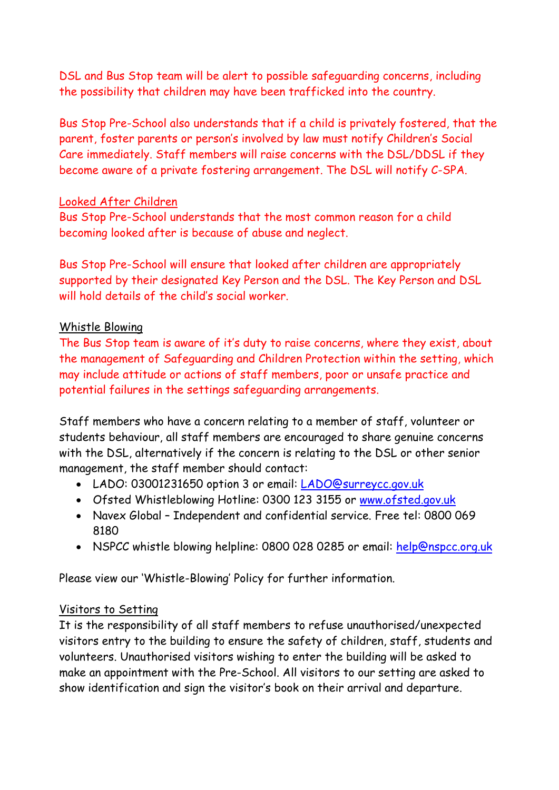DSL and Bus Stop team will be alert to possible safeguarding concerns, including the possibility that children may have been trafficked into the country.

Bus Stop Pre-School also understands that if a child is privately fostered, that the parent, foster parents or person's involved by law must notify Children's Social Care immediately. Staff members will raise concerns with the DSL/DDSL if they become aware of a private fostering arrangement. The DSL will notify C-SPA.

#### Looked After Children

Bus Stop Pre-School understands that the most common reason for a child becoming looked after is because of abuse and neglect.

Bus Stop Pre-School will ensure that looked after children are appropriately supported by their designated Key Person and the DSL. The Key Person and DSL will hold details of the child's social worker

### Whistle Blowing

The Bus Stop team is aware of it's duty to raise concerns, where they exist, about the management of Safeguarding and Children Protection within the setting, which may include attitude or actions of staff members, poor or unsafe practice and potential failures in the settings safeguarding arrangements.

Staff members who have a concern relating to a member of staff, volunteer or students behaviour, all staff members are encouraged to share genuine concerns with the DSL, alternatively if the concern is relating to the DSL or other senior management, the staff member should contact:

- LADO: 03001231650 option 3 or email: [LADO@surreycc.gov.uk](mailto:LADO@surreycc.gov.uk)
- Ofsted Whistleblowing Hotline: 0300 123 3155 or [www.ofsted.gov.uk](http://www.ofsted.gov.uk/)
- Navex Global Independent and confidential service. Free tel: 0800 069 8180
- NSPCC whistle blowing helpline: 0800 028 0285 or email: [help@nspcc.org.uk](mailto:help@nspcc.org.uk)

Please view our 'Whistle-Blowing' Policy for further information.

#### Visitors to Setting

It is the responsibility of all staff members to refuse unauthorised/unexpected visitors entry to the building to ensure the safety of children, staff, students and volunteers. Unauthorised visitors wishing to enter the building will be asked to make an appointment with the Pre-School. All visitors to our setting are asked to show identification and sign the visitor's book on their arrival and departure.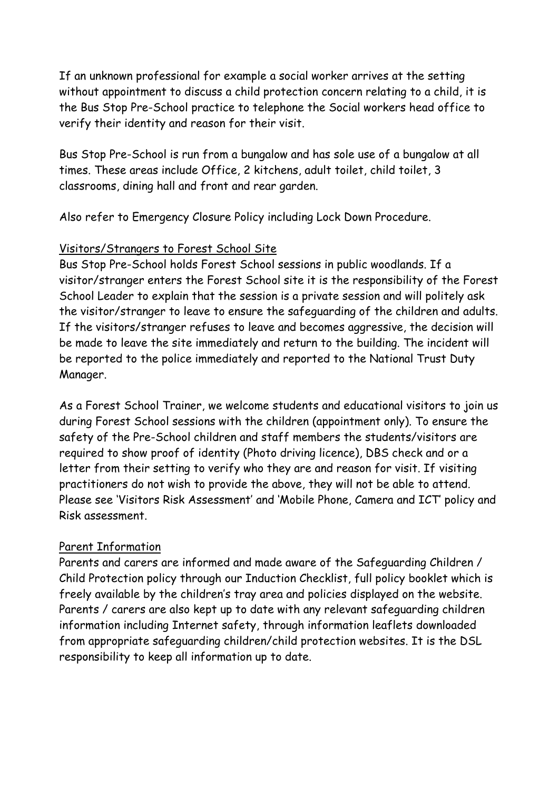If an unknown professional for example a social worker arrives at the setting without appointment to discuss a child protection concern relating to a child, it is the Bus Stop Pre-School practice to telephone the Social workers head office to verify their identity and reason for their visit.

Bus Stop Pre-School is run from a bungalow and has sole use of a bungalow at all times. These areas include Office, 2 kitchens, adult toilet, child toilet, 3 classrooms, dining hall and front and rear garden.

Also refer to Emergency Closure Policy including Lock Down Procedure.

### Visitors/Strangers to Forest School Site

Bus Stop Pre-School holds Forest School sessions in public woodlands. If a visitor/stranger enters the Forest School site it is the responsibility of the Forest School Leader to explain that the session is a private session and will politely ask the visitor/stranger to leave to ensure the safeguarding of the children and adults. If the visitors/stranger refuses to leave and becomes aggressive, the decision will be made to leave the site immediately and return to the building. The incident will be reported to the police immediately and reported to the National Trust Duty Manager.

As a Forest School Trainer, we welcome students and educational visitors to join us during Forest School sessions with the children (appointment only). To ensure the safety of the Pre-School children and staff members the students/visitors are required to show proof of identity (Photo driving licence), DBS check and or a letter from their setting to verify who they are and reason for visit. If visiting practitioners do not wish to provide the above, they will not be able to attend. Please see 'Visitors Risk Assessment' and 'Mobile Phone, Camera and ICT' policy and Risk assessment.

### Parent Information

Parents and carers are informed and made aware of the Safeguarding Children / Child Protection policy through our Induction Checklist, full policy booklet which is freely available by the children's tray area and policies displayed on the website. Parents / carers are also kept up to date with any relevant safeguarding children information including Internet safety, through information leaflets downloaded from appropriate safeguarding children/child protection websites. It is the DSL responsibility to keep all information up to date.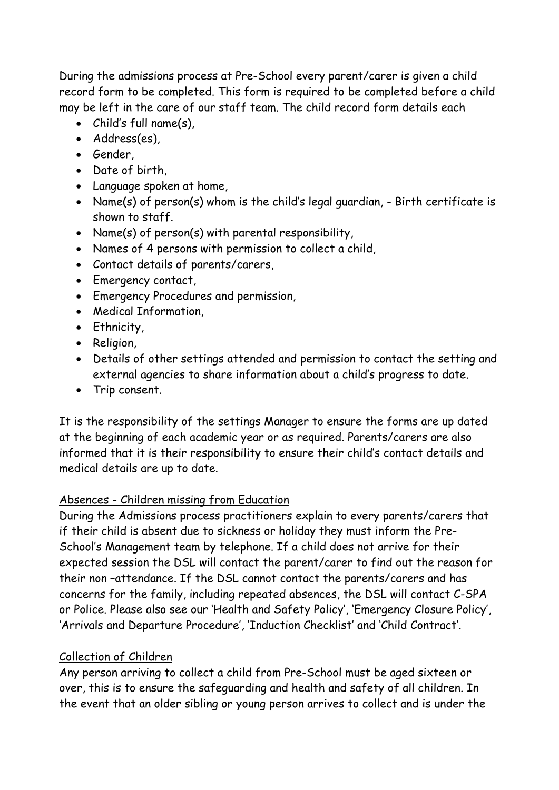During the admissions process at Pre-School every parent/carer is given a child record form to be completed. This form is required to be completed before a child may be left in the care of our staff team. The child record form details each

- Child's full name(s),
- Address(es),
- Gender,
- Date of birth,
- Language spoken at home,
- Name(s) of person(s) whom is the child's legal guardian, Birth certificate is shown to staff.
- Name(s) of person(s) with parental responsibility,
- Names of 4 persons with permission to collect a child,
- Contact details of parents/carers,
- Emergency contact,
- Emergency Procedures and permission,
- Medical Information,
- Ethnicity,
- Religion,
- Details of other settings attended and permission to contact the setting and external agencies to share information about a child's progress to date.
- Trip consent.

It is the responsibility of the settings Manager to ensure the forms are up dated at the beginning of each academic year or as required. Parents/carers are also informed that it is their responsibility to ensure their child's contact details and medical details are up to date.

### Absences - Children missing from Education

During the Admissions process practitioners explain to every parents/carers that if their child is absent due to sickness or holiday they must inform the Pre-School's Management team by telephone. If a child does not arrive for their expected session the DSL will contact the parent/carer to find out the reason for their non –attendance. If the DSL cannot contact the parents/carers and has concerns for the family, including repeated absences, the DSL will contact C-SPA or Police. Please also see our 'Health and Safety Policy', 'Emergency Closure Policy', 'Arrivals and Departure Procedure', 'Induction Checklist' and 'Child Contract'.

### Collection of Children

Any person arriving to collect a child from Pre-School must be aged sixteen or over, this is to ensure the safeguarding and health and safety of all children. In the event that an older sibling or young person arrives to collect and is under the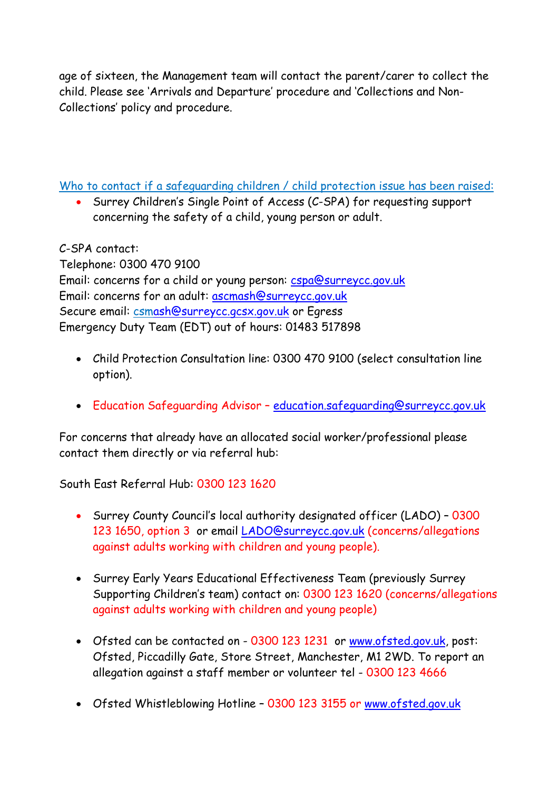age of sixteen, the Management team will contact the parent/carer to collect the child. Please see 'Arrivals and Departure' procedure and 'Collections and Non-Collections' policy and procedure.

Who to contact if a safeguarding children / child protection issue has been raised:

• Surrey Children's Single Point of Access (C-SPA) for requesting support concerning the safety of a child, young person or adult.

C-SPA contact:

Telephone: 0300 470 9100 Email: concerns for a child or young person: [cspa@surreycc.gov.uk](mailto:cspa@surreycc.gov.uk) Email: concerns for an adult: [ascmash@surreycc.gov.uk](mailto:ascmash@surreycc.gov.uk) Secure email: cs[mash@surreycc.gcsx.gov.uk](mailto:ash@surreycc.gcsx.gov.uk) or Egress Emergency Duty Team (EDT) out of hours: 01483 517898

- Child Protection Consultation line: 0300 470 9100 (select consultation line option).
- Education Safeguarding Advisor [education.safeguarding@surreycc.gov.uk](mailto:education.safeguarding@surreycc.gov.uk)

For concerns that already have an allocated social worker/professional please contact them directly or via referral hub:

South East Referral Hub: 0300 123 1620

- Surrey County Council's local authority designated officer (LADO) 0300 123 1650, option 3 or email [LADO@surreycc.gov.uk](mailto:LADO@surreycc.gov.uk) (concerns/allegations against adults working with children and young people).
- Surrey Early Years Educational Effectiveness Team (previously Surrey Supporting Children's team) contact on: 0300 123 1620 (concerns/allegations against adults working with children and young people)
- Ofsted can be contacted on 0300 123 1231 or [www.ofsted.gov.uk,](http://www.ofsted.gov.uk/) post: Ofsted, Piccadilly Gate, Store Street, Manchester, M1 2WD. To report an allegation against a staff member or volunteer tel - 0300 123 4666
- Ofsted Whistleblowing Hotline 0300 123 3155 or [www.ofsted.gov.uk](http://www.ofsted.gov.uk/)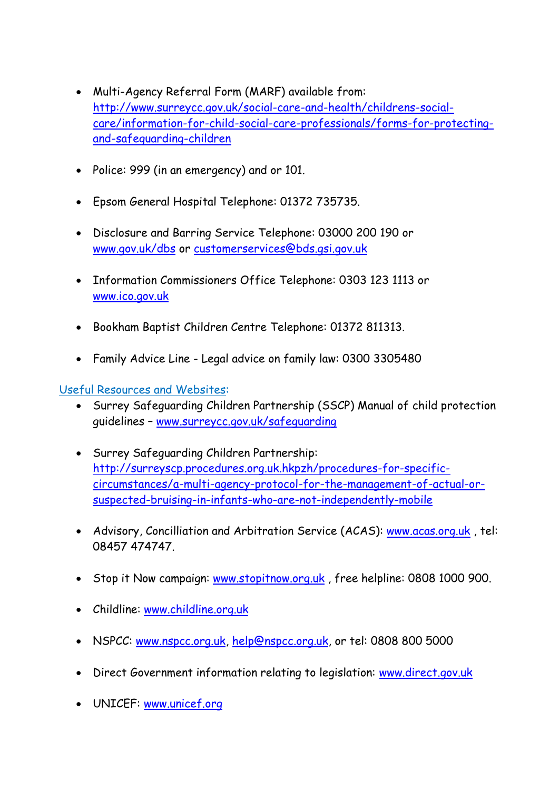- Multi-Agency Referral Form (MARF) available from: [http://www.surreycc.gov.uk/social-care-and-health/childrens-social](http://www.surreycc.gov.uk/social-care-and-health/childrens-social-care/information-for-child-social-care-professionals/forms-for-protecting-and-safeguarding-children)[care/information-for-child-social-care-professionals/forms-for-protecting](http://www.surreycc.gov.uk/social-care-and-health/childrens-social-care/information-for-child-social-care-professionals/forms-for-protecting-and-safeguarding-children)[and-safeguarding-children](http://www.surreycc.gov.uk/social-care-and-health/childrens-social-care/information-for-child-social-care-professionals/forms-for-protecting-and-safeguarding-children)
- Police: 999 (in an emergency) and or 101.
- Epsom General Hospital Telephone: 01372 735735.
- Disclosure and Barring Service Telephone: 03000 200 190 or [www.gov.uk/dbs](http://www.gov.uk/dbs) or [customerservices@bds.gsi.gov.uk](mailto:customerservices@bds.gsi.gov.uk)
- Information Commissioners Office Telephone: 0303 123 1113 or [www.ico.gov.uk](http://www.ico.gov.uk/)
- Bookham Baptist Children Centre Telephone: 01372 811313.
- Family Advice Line Legal advice on family law: 0300 3305480

### Useful Resources and Websites:

- Surrey Safeguarding Children Partnership (SSCP) Manual of child protection guidelines – [www.surreycc.gov.uk/safeguarding](http://www.surreycc.gov.uk/safeguarding)
- Surrey Safeguarding Children Partnership: [http://surreyscp.procedures.org.uk.hkpzh/procedures-for-specific](http://surreyscp.procedures.org.uk.hkpzh/procedures-for-specific-circumstances/a-multi-agency-protocol-for-the-management-of-actual-or-suspected-bruising-in-infants-who-are-not-independently-mobile)[circumstances/a-multi-agency-protocol-for-the-management-of-actual-or](http://surreyscp.procedures.org.uk.hkpzh/procedures-for-specific-circumstances/a-multi-agency-protocol-for-the-management-of-actual-or-suspected-bruising-in-infants-who-are-not-independently-mobile)[suspected-bruising-in-infants-who-are-not-independently-mobile](http://surreyscp.procedures.org.uk.hkpzh/procedures-for-specific-circumstances/a-multi-agency-protocol-for-the-management-of-actual-or-suspected-bruising-in-infants-who-are-not-independently-mobile)
- Advisory, Concilliation and Arbitration Service (ACAS): [www.acas.org.uk](http://www.acas.org.uk/), tel: 08457 474747.
- Stop it Now campaign: [www.stopitnow.org.uk](http://www.stopitnow.org.uk/), free helpline: 0808 1000 900.
- Childline: [www.childline.org.uk](http://www.childline.org.uk/)
- NSPCC: [www.nspcc.org.uk,](http://www.nspcc.org.uk/) [help@nspcc.org.uk,](mailto:help@nspcc.org.uk) or tel: 0808 800 5000
- Direct Government information relating to legislation: [www.direct.gov.uk](http://www.direct.gov.uk/)
- UNICEF: [www.unicef.org](http://www.unicef.org/)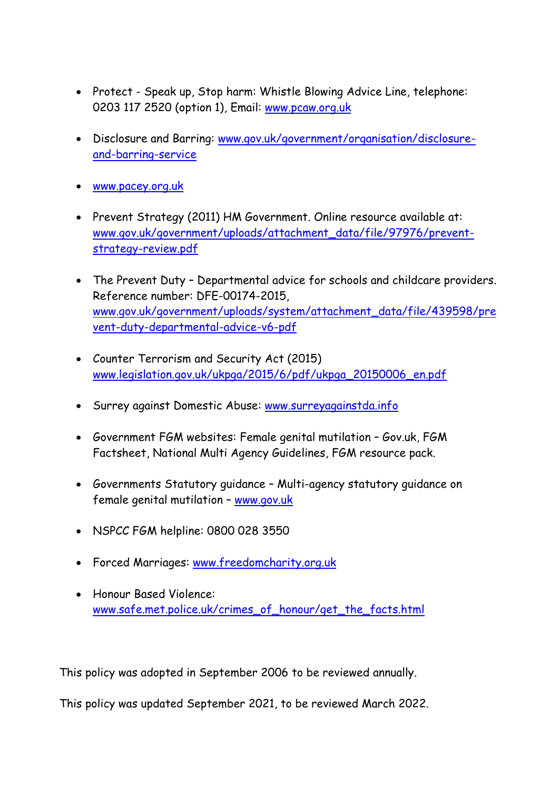- Protect Speak up, Stop harm: Whistle Blowing Advice Line, telephone: 0203 117 2520 (option 1), Email: [www.pcaw.org.uk](http://www.pcaw.org.uk/)
- Disclosure and Barring: [www.gov.uk/government/organisation/disclosure](http://www.gov.uk/government/organisation/disclosure-and-barring-service)[and-barring-service](http://www.gov.uk/government/organisation/disclosure-and-barring-service)
- [www.pacey.org.uk](http://www.pacey.org.uk/)
- Prevent Strategy (2011) HM Government. Online resource available at: [www.gov.uk/government/uploads/attachment\\_data/file/97976/prevent](http://www.gov.uk/government/uploads/attachment_data/file/97976/prevent-strategy-review.pdf)[strategy-review.pdf](http://www.gov.uk/government/uploads/attachment_data/file/97976/prevent-strategy-review.pdf)
- The Prevent Duty Departmental advice for schools and childcare providers. Reference number: DFE-00174-2015, [www.gov.uk/government/uploads/system/attachment\\_data/file/439598/pre](http://www.gov.uk/government/uploads/system/attachment_data/file/439598/prevent-duty-departmental-advice-v6-pdf) [vent-duty-departmental-advice-v6-pdf](http://www.gov.uk/government/uploads/system/attachment_data/file/439598/prevent-duty-departmental-advice-v6-pdf)
- Counter Terrorism and Security Act (2015) [www.legislation.gov.uk/ukpga/2015/6/pdf/ukpga\\_20150006\\_en.pdf](http://www.legislation.gov.uk/ukpga/2015/6/pdf/ukpga_20150006_en.pdf)
- Surrey against Domestic Abuse: [www.surreyagainstda.info](http://www.surreyagainstda.info/)
- Government FGM websites: Female genital mutilation Gov.uk, FGM Factsheet, National Multi Agency Guidelines, FGM resource pack.
- Governments Statutory guidance Multi-agency statutory guidance on female genital mutilation – [www.gov.uk](http://www.gov.uk/)
- NSPCC FGM helpline: 0800 028 3550
- Forced Marriages: [www.freedomcharity.org.uk](http://www.freedomcharity.org.uk/)
- Honour Based Violence: [www.safe.met.police.uk/crimes\\_of\\_honour/get\\_the\\_facts.html](http://www.safe.met.police.uk/crimes_of_honour/get_the_facts.html)

This policy was adopted in September 2006 to be reviewed annually.

This policy was updated September 2021, to be reviewed March 2022.